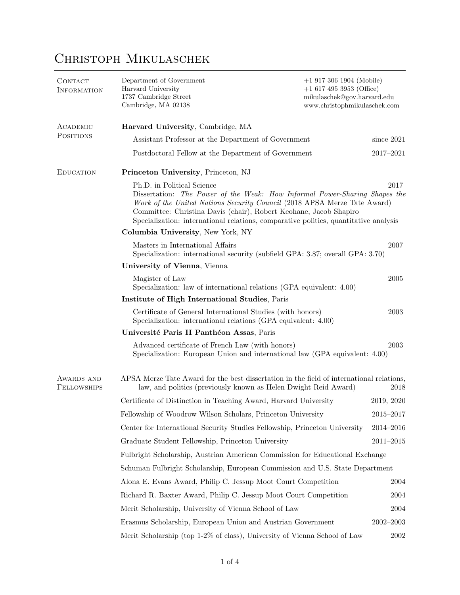## Christoph Mikulaschek

| CONTACT<br><b>INFORMATION</b>    | Department of Government<br>Harvard University<br>1737 Cambridge Street<br>Cambridge, MA 02138                                                                                                                                                                                                                                                            | $+1$ 917 306 1904 (Mobile)<br>$+1$ 617 495 3953 (Office)<br>mikulaschek@gov.harvard.edu<br>www.christophmikulaschek.com |  |  |  |
|----------------------------------|-----------------------------------------------------------------------------------------------------------------------------------------------------------------------------------------------------------------------------------------------------------------------------------------------------------------------------------------------------------|-------------------------------------------------------------------------------------------------------------------------|--|--|--|
| ACADEMIC                         | Harvard University, Cambridge, MA                                                                                                                                                                                                                                                                                                                         |                                                                                                                         |  |  |  |
| <b>POSITIONS</b>                 | Assistant Professor at the Department of Government                                                                                                                                                                                                                                                                                                       |                                                                                                                         |  |  |  |
|                                  | Postdoctoral Fellow at the Department of Government                                                                                                                                                                                                                                                                                                       | 2017-2021                                                                                                               |  |  |  |
| <b>EDUCATION</b>                 | Princeton University, Princeton, NJ                                                                                                                                                                                                                                                                                                                       |                                                                                                                         |  |  |  |
|                                  | Ph.D. in Political Science<br>2017<br>Dissertation: The Power of the Weak: How Informal Power-Sharing Shapes the<br>Work of the United Nations Security Council (2018 APSA Merze Tate Award)<br>Committee: Christina Davis (chair), Robert Keohane, Jacob Shapiro<br>Specialization: international relations, comparative politics, quantitative analysis |                                                                                                                         |  |  |  |
|                                  | Columbia University, New York, NY                                                                                                                                                                                                                                                                                                                         |                                                                                                                         |  |  |  |
|                                  | Masters in International Affairs<br>Specialization: international security (subfield GPA: 3.87; overall GPA: 3.70)                                                                                                                                                                                                                                        | 2007                                                                                                                    |  |  |  |
|                                  | University of Vienna, Vienna                                                                                                                                                                                                                                                                                                                              |                                                                                                                         |  |  |  |
|                                  | Magister of Law<br>Specialization: law of international relations (GPA equivalent: 4.00)                                                                                                                                                                                                                                                                  | $\,2005\,$                                                                                                              |  |  |  |
|                                  | Institute of High International Studies, Paris                                                                                                                                                                                                                                                                                                            |                                                                                                                         |  |  |  |
|                                  | Certificate of General International Studies (with honors)<br>Specialization: international relations (GPA equivalent: 4.00)                                                                                                                                                                                                                              | 2003                                                                                                                    |  |  |  |
|                                  | Université Paris II Panthéon Assas, Paris                                                                                                                                                                                                                                                                                                                 |                                                                                                                         |  |  |  |
|                                  | Advanced certificate of French Law (with honors)<br>Specialization: European Union and international law (GPA equivalent: 4.00)                                                                                                                                                                                                                           | 2003                                                                                                                    |  |  |  |
| AWARDS AND<br><b>FELLOWSHIPS</b> | APSA Merze Tate Award for the best dissertation in the field of international relations,<br>law, and politics (previously known as Helen Dwight Reid Award)<br>2018                                                                                                                                                                                       |                                                                                                                         |  |  |  |
|                                  | Certificate of Distinction in Teaching Award, Harvard University                                                                                                                                                                                                                                                                                          | 2019, 2020                                                                                                              |  |  |  |
|                                  | Fellowship of Woodrow Wilson Scholars, Princeton University                                                                                                                                                                                                                                                                                               | $2015 - 2017$                                                                                                           |  |  |  |
|                                  | Center for International Security Studies Fellowship, Princeton University                                                                                                                                                                                                                                                                                | $2014 - 2016$                                                                                                           |  |  |  |
|                                  | Graduate Student Fellowship, Princeton University                                                                                                                                                                                                                                                                                                         | $2011 - 2015$                                                                                                           |  |  |  |
|                                  | Fulbright Scholarship, Austrian American Commission for Educational Exchange                                                                                                                                                                                                                                                                              |                                                                                                                         |  |  |  |
|                                  | Schuman Fulbright Scholarship, European Commission and U.S. State Department                                                                                                                                                                                                                                                                              |                                                                                                                         |  |  |  |
|                                  | Alona E. Evans Award, Philip C. Jessup Moot Court Competition                                                                                                                                                                                                                                                                                             | 2004                                                                                                                    |  |  |  |
|                                  | Richard R. Baxter Award, Philip C. Jessup Moot Court Competition                                                                                                                                                                                                                                                                                          | 2004                                                                                                                    |  |  |  |
|                                  | Merit Scholarship, University of Vienna School of Law                                                                                                                                                                                                                                                                                                     | 2004                                                                                                                    |  |  |  |
|                                  | Erasmus Scholarship, European Union and Austrian Government                                                                                                                                                                                                                                                                                               | $2002 - 2003$                                                                                                           |  |  |  |
|                                  | Merit Scholarship (top 1-2% of class), University of Vienna School of Law                                                                                                                                                                                                                                                                                 | 2002                                                                                                                    |  |  |  |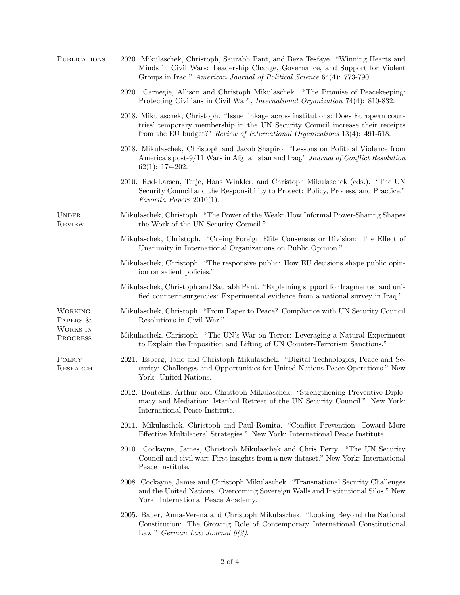| 2020. Mikulaschek, Christoph, Saurabh Pant, and Beza Tesfaye. "Winning Hearts and<br>Minds in Civil Wars: Leadership Change, Governance, and Support for Violent<br>Groups in Iraq," American Journal of Political Science 64(4): 773-790.            |
|-------------------------------------------------------------------------------------------------------------------------------------------------------------------------------------------------------------------------------------------------------|
| 2020. Carnegie, Allison and Christoph Mikulaschek. "The Promise of Peacekeeping:<br>Protecting Civilians in Civil War", <i>International Organization</i> 74(4): 810-832.                                                                             |
| 2018. Mikulaschek, Christoph. "Issue linkage across institutions: Does European coun-<br>tries' temporary membership in the UN Security Council increase their receipts<br>from the EU budget?" Review of International Organizations 13(4): 491-518. |
| 2018. Mikulaschek, Christoph and Jacob Shapiro. "Lessons on Political Violence from<br>America's post-9/11 Wars in Afghanistan and Iraq," Journal of Conflict Resolution<br>$62(1): 174-202.$                                                         |
| 2010. Rød-Larsen, Terje, Hans Winkler, and Christoph Mikulaschek (eds.). "The UN<br>Security Council and the Responsibility to Protect: Policy, Process, and Practice,"<br>Favorita Papers $2010(1)$ .                                                |
| Mikulaschek, Christoph. "The Power of the Weak: How Informal Power-Sharing Shapes<br>the Work of the UN Security Council."                                                                                                                            |
| Mikulaschek, Christoph. "Cueing Foreign Elite Consensus or Division: The Effect of<br>Unanimity in International Organizations on Public Opinion."                                                                                                    |
| Mikulaschek, Christoph. "The responsive public: How EU decisions shape public opin-<br>ion on salient policies."                                                                                                                                      |
| Mikulaschek, Christoph and Saurabh Pant. "Explaining support for fragmented and uni-<br>fied counterinsurgencies: Experimental evidence from a national survey in Iraq."                                                                              |
| Mikulaschek, Christoph. "From Paper to Peace? Compliance with UN Security Council<br>Resolutions in Civil War."                                                                                                                                       |
| Mikulaschek, Christoph. "The UN's War on Terror: Leveraging a Natural Experiment<br>to Explain the Imposition and Lifting of UN Counter-Terrorism Sanctions."                                                                                         |
| 2021. Esberg, Jane and Christoph Mikulaschek. "Digital Technologies, Peace and Se-<br>curity: Challenges and Opportunities for United Nations Peace Operations." New<br>York: United Nations.                                                         |
| 2012. Boutellis, Arthur and Christoph Mikulaschek. "Strengthening Preventive Diplo-<br>macy and Mediation: Istanbul Retreat of the UN Security Council." New York:<br>International Peace Institute.                                                  |
| 2011. Mikulaschek, Christoph and Paul Romita. "Conflict Prevention: Toward More<br>Effective Multilateral Strategies." New York: International Peace Institute.                                                                                       |
| 2010. Cockayne, James, Christoph Mikulaschek and Chris Perry. "The UN Security<br>Council and civil war: First insights from a new dataset." New York: International<br>Peace Institute.                                                              |
| 2008. Cockayne, James and Christoph Mikulaschek. "Transnational Security Challenges<br>and the United Nations: Overcoming Sovereign Walls and Institutional Silos." New<br>York: International Peace Academy.                                         |
| 2005. Bauer, Anna-Verena and Christoph Mikulaschek. "Looking Beyond the National<br>Constitution: The Growing Role of Contemporary International Constitutional<br>Law." German Law Journal $6(2)$ .                                                  |
|                                                                                                                                                                                                                                                       |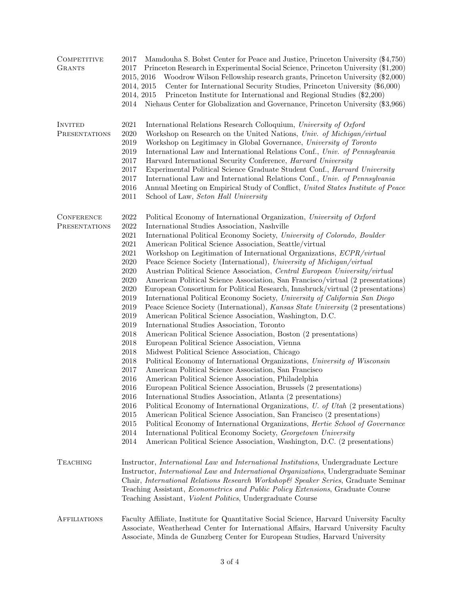| COMPETITIVE<br><b>GRANTS</b>              | Mamdouha S. Bobst Center for Peace and Justice, Princeton University (\$4,750)<br>2017<br>Princeton Research in Experimental Social Science, Princeton University (\$1,200)<br>2017<br>Woodrow Wilson Fellowship research grants, Princeton University (\$2,000)<br>2015, 2016<br>Center for International Security Studies, Princeton University (\$6,000)<br>2014, 2015<br>Princeton Institute for International and Regional Studies (\$2,200)<br>2014, 2015<br>Niehaus Center for Globalization and Governance, Princeton University (\$3,966)<br>2014                                                                                                                                                                                                                                                                                                                                                                                                                                                                                                                                                                                                                                                                                                                                                                                                                                                                                                                                                                                                                                                                                                                                                                                                                                                                                                                                                                                                                                                                                                                                           |  |
|-------------------------------------------|------------------------------------------------------------------------------------------------------------------------------------------------------------------------------------------------------------------------------------------------------------------------------------------------------------------------------------------------------------------------------------------------------------------------------------------------------------------------------------------------------------------------------------------------------------------------------------------------------------------------------------------------------------------------------------------------------------------------------------------------------------------------------------------------------------------------------------------------------------------------------------------------------------------------------------------------------------------------------------------------------------------------------------------------------------------------------------------------------------------------------------------------------------------------------------------------------------------------------------------------------------------------------------------------------------------------------------------------------------------------------------------------------------------------------------------------------------------------------------------------------------------------------------------------------------------------------------------------------------------------------------------------------------------------------------------------------------------------------------------------------------------------------------------------------------------------------------------------------------------------------------------------------------------------------------------------------------------------------------------------------------------------------------------------------------------------------------------------------|--|
| <b>INVITED</b><br><b>PRESENTATIONS</b>    | 2021<br>International Relations Research Colloquium, University of Oxford<br>2020<br>Workshop on Research on the United Nations, Univ. of Michigan/virtual<br>2019<br>Workshop on Legitimacy in Global Governance, University of Toronto<br>2019<br>International Law and International Relations Conf., Univ. of Pennsylvania<br>2017<br>Harvard International Security Conference, Harvard University<br>2017<br>Experimental Political Science Graduate Student Conf., Harvard University<br>2017<br>International Law and International Relations Conf., Univ. of Pennsylvania<br>2016<br>Annual Meeting on Empirical Study of Conflict, United States Institute of Peace<br>2011<br>School of Law, Seton Hall University                                                                                                                                                                                                                                                                                                                                                                                                                                                                                                                                                                                                                                                                                                                                                                                                                                                                                                                                                                                                                                                                                                                                                                                                                                                                                                                                                                        |  |
| <b>CONFERENCE</b><br><b>PRESENTATIONS</b> | $2022\,$<br>Political Economy of International Organization, University of Oxford<br>2022<br>International Studies Association, Nashville<br>2021<br>International Political Economy Society, University of Colorado, Boulder<br>$\,2021$<br>American Political Science Association, Seattle/virtual<br>$\,2021$<br>Workshop on Legitimation of International Organizations, ECPR/virtual<br>2020<br>Peace Science Society (International), University of Michigan/virtual<br>2020<br>Austrian Political Science Association, Central European University/virtual<br>2020<br>American Political Science Association, San Francisco/virtual (2 presentations)<br>2020<br>European Consortium for Political Research, Innsbruck/virtual (2 presentations)<br>2019<br>International Political Economy Society, University of California San Diego<br>2019<br>Peace Science Society (International), Kansas State University (2 presentations)<br>2019<br>American Political Science Association, Washington, D.C.<br>2019<br>International Studies Association, Toronto<br>2018<br>American Political Science Association, Boston (2 presentations)<br>2018<br>European Political Science Association, Vienna<br>2018<br>Midwest Political Science Association, Chicago<br>2018<br>Political Economy of International Organizations, University of Wisconsin<br>2017<br>American Political Science Association, San Francisco<br>2016<br>American Political Science Association, Philadelphia<br>2016<br>European Political Science Association, Brussels (2 presentations)<br>2016<br>International Studies Association, Atlanta (2 presentations)<br>2016<br>Political Economy of International Organizations, <i>U. of Utah</i> (2 presentations)<br>2015<br>American Political Science Association, San Francisco (2 presentations)<br>2015<br>Political Economy of International Organizations, <i>Hertie School of Governance</i><br>2014<br>International Political Economy Society, Georgetown University<br>2014<br>American Political Science Association, Washington, D.C. (2 presentations) |  |
| <b>TEACHING</b>                           | Instructor, <i>International Law and International Institutions</i> , Undergraduate Lecture<br>Instructor, <i>International Law and International Organizations</i> , Undergraduate Seminar<br>Chair, International Relations Research Workshop& Speaker Series, Graduate Seminar<br>Teaching Assistant, <i>Econometrics and Public Policy Extensions</i> , Graduate Course<br>Teaching Assistant, <i>Violent Politics</i> , Undergraduate Course                                                                                                                                                                                                                                                                                                                                                                                                                                                                                                                                                                                                                                                                                                                                                                                                                                                                                                                                                                                                                                                                                                                                                                                                                                                                                                                                                                                                                                                                                                                                                                                                                                                    |  |
| <b>AFFILIATIONS</b>                       | Faculty Affiliate, Institute for Quantitative Social Science, Harvard University Faculty<br>Associate, Weatherhead Center for International Affairs, Harvard University Faculty<br>Associate, Minda de Gunzberg Center for European Studies, Harvard University                                                                                                                                                                                                                                                                                                                                                                                                                                                                                                                                                                                                                                                                                                                                                                                                                                                                                                                                                                                                                                                                                                                                                                                                                                                                                                                                                                                                                                                                                                                                                                                                                                                                                                                                                                                                                                      |  |